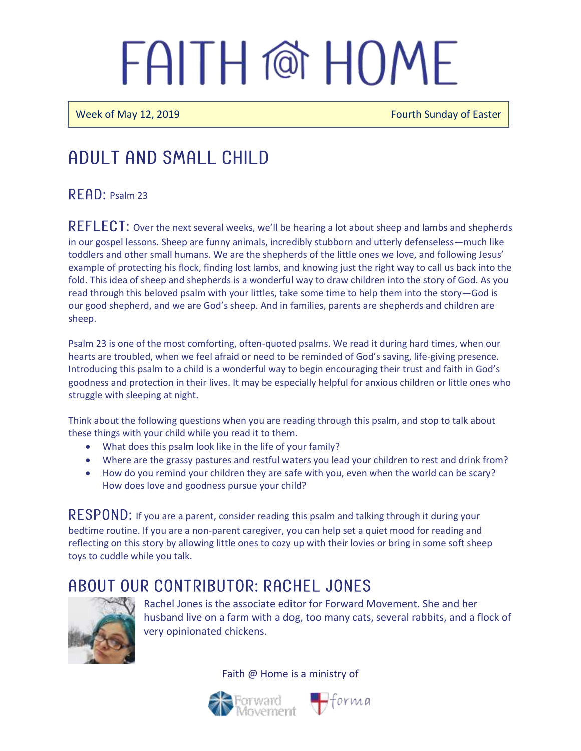Week of May 12, 2019 **Fourth Sunday of Easter** Fourth Sunday of Easter

### Adult and Small Child

#### $R$  $F$  $AP$ : Psalm 23

REFLECT: Over the next several weeks, we'll be hearing a lot about sheep and lambs and shepherds in our gospel lessons. Sheep are funny animals, incredibly stubborn and utterly defenseless—much like toddlers and other small humans. We are the shepherds of the little ones we love, and following Jesus' example of protecting his flock, finding lost lambs, and knowing just the right way to call us back into the fold. This idea of sheep and shepherds is a wonderful way to draw children into the story of God. As you read through this beloved psalm with your littles, take some time to help them into the story—God is our good shepherd, and we are God's sheep. And in families, parents are shepherds and children are sheep.

Psalm 23 is one of the most comforting, often-quoted psalms. We read it during hard times, when our hearts are troubled, when we feel afraid or need to be reminded of God's saving, life-giving presence. Introducing this psalm to a child is a wonderful way to begin encouraging their trust and faith in God's goodness and protection in their lives. It may be especially helpful for anxious children or little ones who struggle with sleeping at night.

Think about the following questions when you are reading through this psalm, and stop to talk about these things with your child while you read it to them.

- What does this psalm look like in the life of your family?
- Where are the grassy pastures and restful waters you lead your children to rest and drink from?
- How do you remind your children they are safe with you, even when the world can be scary? How does love and goodness pursue your child?

 $RESPOND:$  If you are a parent, consider reading this psalm and talking through it during your bedtime routine. If you are a non-parent caregiver, you can help set a quiet mood for reading and reflecting on this story by allowing little ones to cozy up with their lovies or bring in some soft sheep toys to cuddle while you talk.

### A BOUT OUR CONTRIBUTOR: RACHEL JONES



Rachel Jones is the associate editor for Forward Movement. She and her husband live on a farm with a dog, too many cats, several rabbits, and a flock of very opinionated chickens.



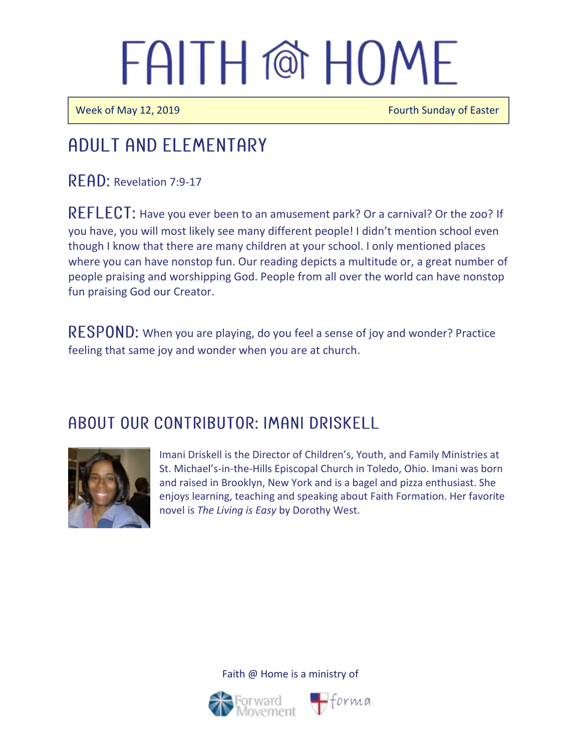Ī

 $\overline{a}$ 

Week of May 12, 2019 **Fourth Sunday of Easter** 

## Adult and elementary

READ: Revelation 7:9-17

REFLECT: Have you ever been to an amusement park? Or a carnival? Or the zoo? If you have, you will most likely see many different people! I didn't mention school even though I know that there are many children at your school. I only mentioned places where you can have nonstop fun. Our reading depicts a multitude or, a great number of people praising and worshipping God. People from all over the world can have nonstop fun praising God our Creator.

RESPOND: When you are playing, do you feel a sense of joy and wonder? Practice feeling that same joy and wonder when you are at church.

### A BOUT OUR CONTRIBUTOR: IMANI DRISKELL



Imani Driskell is the Director of Children's, Youth, and Family Ministries at St. Michael's-in-the-Hills Episcopal Church in Toledo, Ohio. Imani was born and raised in Brooklyn, New York and is a bagel and pizza enthusiast. She enjoys learning, teaching and speaking about Faith Formation. Her favorite novel is *The Living is Easy* by Dorothy West.



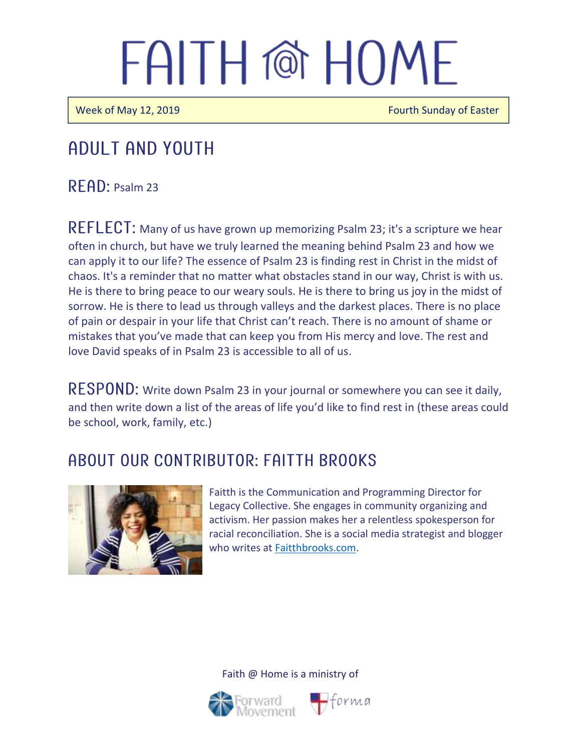Week of May 12, 2019 **Fourth Sunday of Easter** 

### Adult and youth

 $R$  FAD: Psalm 23

REFLECT: Many of us have grown up memorizing Psalm 23; it's a scripture we hear often in church, but have we truly learned the meaning behind Psalm 23 and how we can apply it to our life? The essence of Psalm 23 is finding rest in Christ in the midst of chaos. It's a reminder that no matter what obstacles stand in our way, Christ is with us. He is there to bring peace to our weary souls. He is there to bring us joy in the midst of sorrow. He is there to lead us through valleys and the darkest places. There is no place of pain or despair in your life that Christ can't reach. There is no amount of shame or mistakes that you've made that can keep you from His mercy and love. The rest and love David speaks of in Psalm 23 is accessible to all of us.

RESPOND: Write down Psalm 23 in your journal or somewhere you can see it daily, and then write down a list of the areas of life you'd like to find rest in (these areas could be school, work, family, etc.)

### A BOUT OUR CONTRIBUTOR: FAITTH BROOKS



Faitth is the Communication and Programming Director for Legacy Collective. She engages in community organizing and activism. Her passion makes her a relentless spokesperson for racial reconciliation. She is a social media strategist and blogger who writes at **Faitthbrooks.com**.